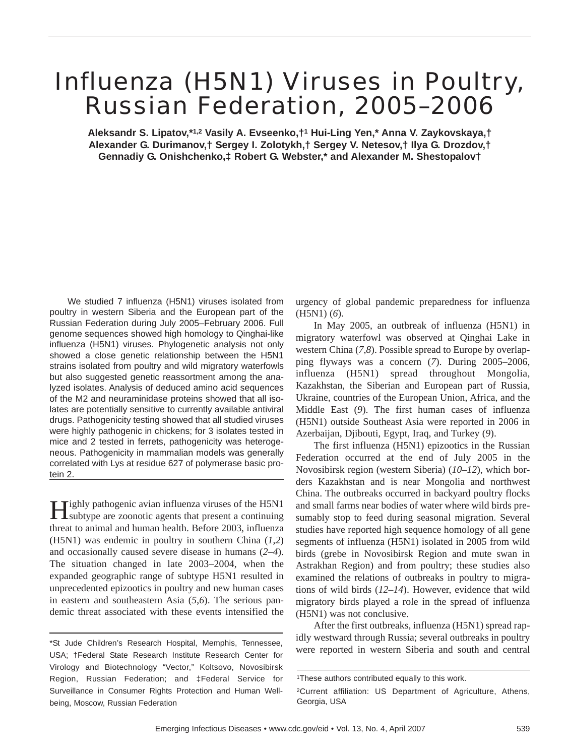# Influenza (H5N1) Viruses in Poultry, Russian Federation, 2005–2006

**Aleksandr S. Lipatov,\*1,2 Vasily A. Evseenko,†1 Hui-Ling Yen,\* Anna V. Zaykovskaya,† Alexander G. Durimanov,† Sergey I. Zolotykh,† Sergey V. Netesov,† Ilya G. Drozdov,† Gennadiy G. Onishchenko,‡ Robert G. Webster,\* and Alexander M. Shestopalov†**

We studied 7 influenza (H5N1) viruses isolated from poultry in western Siberia and the European part of the Russian Federation during July 2005–February 2006. Full genome sequences showed high homology to Qinghai-like influenza (H5N1) viruses. Phylogenetic analysis not only showed a close genetic relationship between the H5N1 strains isolated from poultry and wild migratory waterfowls but also suggested genetic reassortment among the analyzed isolates. Analysis of deduced amino acid sequences of the M2 and neuraminidase proteins showed that all isolates are potentially sensitive to currently available antiviral drugs. Pathogenicity testing showed that all studied viruses were highly pathogenic in chickens; for 3 isolates tested in mice and 2 tested in ferrets, pathogenicity was heterogeneous. Pathogenicity in mammalian models was generally correlated with Lys at residue 627 of polymerase basic protein 2.

Highly pathogenic avian influenza viruses of the H5N1 subtype are zoonotic agents that present a continuing threat to animal and human health. Before 2003, influenza (H5N1) was endemic in poultry in southern China (*1*,*2*) and occasionally caused severe disease in humans (*2*–*4*). The situation changed in late 2003–2004, when the expanded geographic range of subtype H5N1 resulted in unprecedented epizootics in poultry and new human cases in eastern and southeastern Asia (*5*,*6*). The serious pandemic threat associated with these events intensified the

urgency of global pandemic preparedness for influenza (H5N1) (*6*).

In May 2005, an outbreak of influenza (H5N1) in migratory waterfowl was observed at Qinghai Lake in western China (*7*,*8*). Possible spread to Europe by overlapping flyways was a concern (*7*). During 2005–2006, influenza (H5N1) spread throughout Mongolia, Kazakhstan, the Siberian and European part of Russia, Ukraine, countries of the European Union, Africa, and the Middle East (*9*). The first human cases of influenza (H5N1) outside Southeast Asia were reported in 2006 in Azerbaijan, Djibouti, Egypt, Iraq, and Turkey (*9*).

The first influenza (H5N1) epizootics in the Russian Federation occurred at the end of July 2005 in the Novosibirsk region (western Siberia) (*10*–*12*), which borders Kazakhstan and is near Mongolia and northwest China. The outbreaks occurred in backyard poultry flocks and small farms near bodies of water where wild birds presumably stop to feed during seasonal migration. Several studies have reported high sequence homology of all gene segments of influenza (H5N1) isolated in 2005 from wild birds (grebe in Novosibirsk Region and mute swan in Astrakhan Region) and from poultry; these studies also examined the relations of outbreaks in poultry to migrations of wild birds (*12*–*14*). However, evidence that wild migratory birds played a role in the spread of influenza (H5N1) was not conclusive.

After the first outbreaks, influenza (H5N1) spread rapidly westward through Russia; several outbreaks in poultry were reported in western Siberia and south and central

<sup>\*</sup>St Jude Children's Research Hospital, Memphis, Tennessee, USA; †Federal State Research Institute Research Center for Virology and Biotechnology "Vector," Koltsovo, Novosibirsk Region, Russian Federation; and ‡Federal Service for Surveillance in Consumer Rights Protection and Human Wellbeing, Moscow, Russian Federation

<sup>1</sup>These authors contributed equally to this work.

<sup>2</sup>Current affiliation: US Department of Agriculture, Athens, Georgia, USA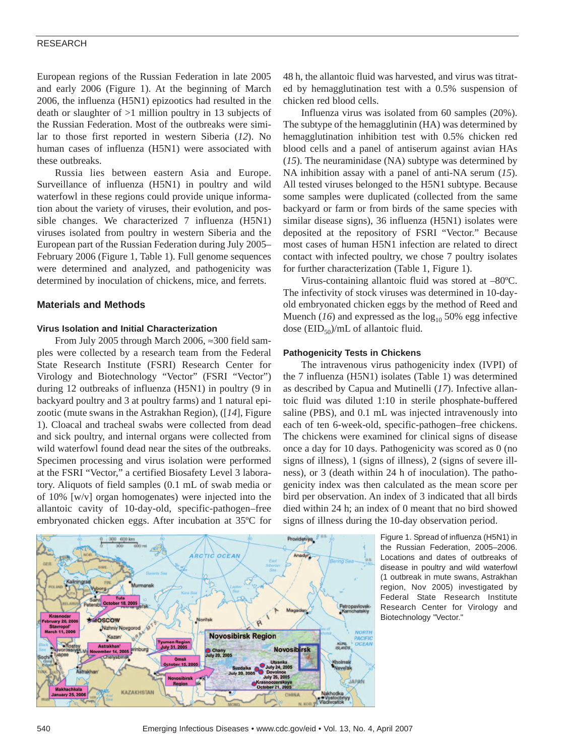European regions of the Russian Federation in late 2005 and early 2006 (Figure 1). At the beginning of March 2006, the influenza (H5N1) epizootics had resulted in the death or slaughter of >1 million poultry in 13 subjects of the Russian Federation. Most of the outbreaks were similar to those first reported in western Siberia (*12*). No human cases of influenza (H5N1) were associated with these outbreaks.

Russia lies between eastern Asia and Europe. Surveillance of influenza (H5N1) in poultry and wild waterfowl in these regions could provide unique information about the variety of viruses, their evolution, and possible changes. We characterized 7 influenza (H5N1) viruses isolated from poultry in western Siberia and the European part of the Russian Federation during July 2005– February 2006 (Figure 1, Table 1). Full genome sequences were determined and analyzed, and pathogenicity was determined by inoculation of chickens, mice, and ferrets.

### **Materials and Methods**

### **Virus Isolation and Initial Characterization**

From July 2005 through March 2006, ≈300 field samples were collected by a research team from the Federal State Research Institute (FSRI) Research Center for Virology and Biotechnology "Vector" (FSRI "Vector") during 12 outbreaks of influenza (H5N1) in poultry (9 in backyard poultry and 3 at poultry farms) and 1 natural epizootic (mute swans in the Astrakhan Region), ([*14*], Figure 1). Cloacal and tracheal swabs were collected from dead and sick poultry, and internal organs were collected from wild waterfowl found dead near the sites of the outbreaks. Specimen processing and virus isolation were performed at the FSRI "Vector," a certified Biosafety Level 3 laboratory. Aliquots of field samples (0.1 mL of swab media or of 10% [w/v] organ homogenates) were injected into the allantoic cavity of 10-day-old, specific-pathogen–free embryonated chicken eggs. After incubation at 35ºC for



48 h, the allantoic fluid was harvested, and virus was titrated by hemagglutination test with a 0.5% suspension of chicken red blood cells.

Influenza virus was isolated from 60 samples (20%). The subtype of the hemagglutinin (HA) was determined by hemagglutination inhibition test with 0.5% chicken red blood cells and a panel of antiserum against avian HAs (*15*). The neuraminidase (NA) subtype was determined by NA inhibition assay with a panel of anti-NA serum (*15*). All tested viruses belonged to the H5N1 subtype. Because some samples were duplicated (collected from the same backyard or farm or from birds of the same species with similar disease signs), 36 influenza (H5N1) isolates were deposited at the repository of FSRI "Vector." Because most cases of human H5N1 infection are related to direct contact with infected poultry, we chose 7 poultry isolates for further characterization (Table 1, Figure 1).

Virus-containing allantoic fluid was stored at –80ºC. The infectivity of stock viruses was determined in 10-dayold embryonated chicken eggs by the method of Reed and Muench  $(16)$  and expressed as the  $log_{10} 50\%$  egg infective dose  $(EID_{50})/mL$  of allantoic fluid.

### **Pathogenicity Tests in Chickens**

The intravenous virus pathogenicity index (IVPI) of the 7 influenza (H5N1) isolates (Table 1) was determined as described by Capua and Mutinelli (*17*). Infective allantoic fluid was diluted 1:10 in sterile phosphate-buffered saline (PBS), and 0.1 mL was injected intravenously into each of ten 6-week-old, specific-pathogen–free chickens. The chickens were examined for clinical signs of disease once a day for 10 days. Pathogenicity was scored as 0 (no signs of illness), 1 (signs of illness), 2 (signs of severe illness), or 3 (death within 24 h of inoculation). The pathogenicity index was then calculated as the mean score per bird per observation. An index of 3 indicated that all birds died within 24 h; an index of 0 meant that no bird showed signs of illness during the 10-day observation period.

> Figure 1. Spread of influenza (H5N1) in the Russian Federation, 2005–2006. Locations and dates of outbreaks of disease in poultry and wild waterfowl (1 outbreak in mute swans, Astrakhan region, Nov 2005) investigated by Federal State Research Institute Research Center for Virology and Biotechnology "Vector."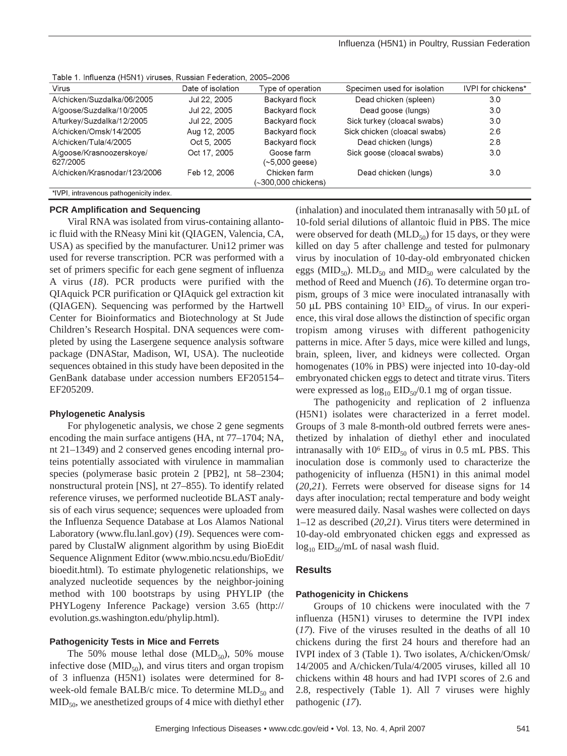| <b>Virus</b>                            | Date of isolation | Type of operation                   | Specimen used for isolation  | IVPI for chickens* |
|-----------------------------------------|-------------------|-------------------------------------|------------------------------|--------------------|
| A/chicken/Suzdalka/06/2005              | Jul 22, 2005      | Backyard flock                      | Dead chicken (spleen)        | 3.0                |
| A/goose/Suzdalka/10/2005                | Jul 22, 2005      | Backyard flock                      | Dead goose (lungs)           | 3.0                |
| A/turkey/Suzdalka/12/2005               | Jul 22, 2005      | Backvard flock                      | Sick turkey (cloacal swabs)  | 3.0                |
| A/chicken/Omsk/14/2005                  | Aug 12, 2005      | Backyard flock                      | Sick chicken (cloacal swabs) | 2.6                |
| A/chicken/Tula/4/2005                   | Oct 5, 2005       | Backyard flock                      | Dead chicken (lungs)         | 2.8                |
| A/goose/Krasnoozerskove/<br>627/2005    | Oct 17, 2005      | Goose farm<br>(~5,000 geese)        | Sick goose (cloacal swabs)   | 3.0                |
| A/chicken/Krasnodar/123/2006            | Feb 12, 2006      | Chicken farm<br>(∼300,000 chickens) | Dead chicken (lungs)         | 3.0                |
| *IVPI, intravenous pathogenicity index. |                   |                                     |                              |                    |

Table 1. Influenza (H5N1) viruses, Russian Federation, 2005-2006

### **PCR Amplification and Sequencing**

Viral RNA was isolated from virus-containing allantoic fluid with the RNeasy Mini kit (QIAGEN, Valencia, CA, USA) as specified by the manufacturer. Uni12 primer was used for reverse transcription. PCR was performed with a set of primers specific for each gene segment of influenza A virus (*18*). PCR products were purified with the QIAquick PCR purification or QIAquick gel extraction kit (QIAGEN). Sequencing was performed by the Hartwell Center for Bioinformatics and Biotechnology at St Jude Children's Research Hospital. DNA sequences were completed by using the Lasergene sequence analysis software package (DNAStar, Madison, WI, USA). The nucleotide sequences obtained in this study have been deposited in the GenBank database under accession numbers EF205154– EF205209.

### **Phylogenetic Analysis**

For phylogenetic analysis, we chose 2 gene segments encoding the main surface antigens (HA, nt 77–1704; NA, nt 21–1349) and 2 conserved genes encoding internal proteins potentially associated with virulence in mammalian species (polymerase basic protein 2 [PB2], nt 58–2304; nonstructural protein [NS], nt 27–855). To identify related reference viruses, we performed nucleotide BLAST analysis of each virus sequence; sequences were uploaded from the Influenza Sequence Database at Los Alamos National Laboratory (www.flu.lanl.gov) (*19*). Sequences were compared by ClustalW alignment algorithm by using BioEdit Sequence Alignment Editor (www.mbio.ncsu.edu/BioEdit/ bioedit.html). To estimate phylogenetic relationships, we analyzed nucleotide sequences by the neighbor-joining method with 100 bootstraps by using PHYLIP (the PHYLogeny Inference Package) version 3.65 (http:// evolution.gs.washington.edu/phylip.html).

### **Pathogenicity Tests in Mice and Ferrets**

The 50% mouse lethal dose  $(MLD_{50})$ , 50% mouse infective dose  $(MID_{50})$ , and virus titers and organ tropism of 3 influenza (H5N1) isolates were determined for 8 week-old female BALB/c mice. To determine  $MLD_{50}$  and  $MID<sub>50</sub>$ , we anesthetized groups of 4 mice with diethyl ether

(inhalation) and inoculated them intranasally with  $50 \mu L$  of 10-fold serial dilutions of allantoic fluid in PBS. The mice were observed for death  $(MLD_{50})$  for 15 days, or they were killed on day 5 after challenge and tested for pulmonary virus by inoculation of 10-day-old embryonated chicken eggs (MID<sub>50</sub>). MLD<sub>50</sub> and MID<sub>50</sub> were calculated by the method of Reed and Muench (*16*). To determine organ tropism, groups of 3 mice were inoculated intranasally with 50 µL PBS containing  $10^3$  EID<sub>50</sub> of virus. In our experience, this viral dose allows the distinction of specific organ tropism among viruses with different pathogenicity patterns in mice. After 5 days, mice were killed and lungs, brain, spleen, liver, and kidneys were collected. Organ homogenates (10% in PBS) were injected into 10-day-old embryonated chicken eggs to detect and titrate virus. Titers were expressed as  $\log_{10}$  EID<sub>50</sub>/0.1 mg of organ tissue.

The pathogenicity and replication of 2 influenza (H5N1) isolates were characterized in a ferret model. Groups of 3 male 8-month-old outbred ferrets were anesthetized by inhalation of diethyl ether and inoculated intranasally with  $10^6$  EID<sub>50</sub> of virus in 0.5 mL PBS. This inoculation dose is commonly used to characterize the pathogenicity of influenza (H5N1) in this animal model (*20*,*21*). Ferrets were observed for disease signs for 14 days after inoculation; rectal temperature and body weight were measured daily. Nasal washes were collected on days 1–12 as described (*20*,*21*). Virus titers were determined in 10-day-old embryonated chicken eggs and expressed as  $log_{10}$  EID<sub>50</sub>/mL of nasal wash fluid.

### **Results**

### **Pathogenicity in Chickens**

Groups of 10 chickens were inoculated with the 7 influenza (H5N1) viruses to determine the IVPI index (*17*). Five of the viruses resulted in the deaths of all 10 chickens during the first 24 hours and therefore had an IVPI index of 3 (Table 1). Two isolates, A/chicken/Omsk/ 14/2005 and A/chicken/Tula/4/2005 viruses, killed all 10 chickens within 48 hours and had IVPI scores of 2.6 and 2.8, respectively (Table 1). All 7 viruses were highly pathogenic (*17*).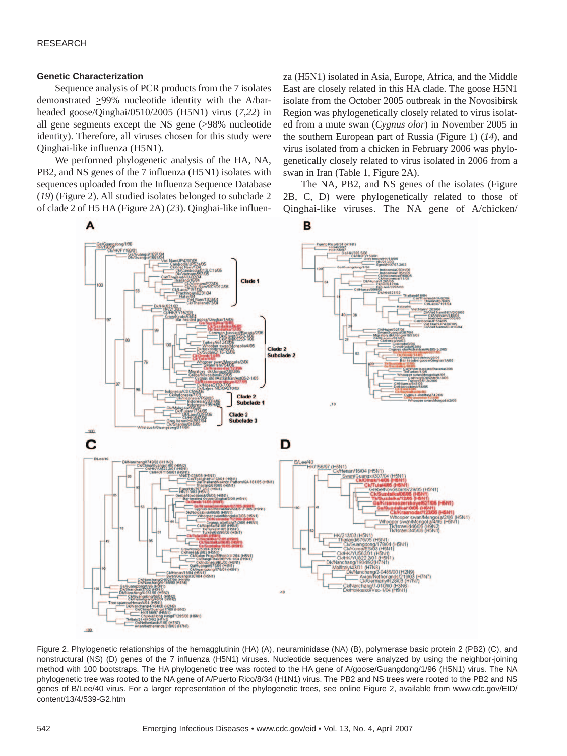### **Genetic Characterization**

Sequence analysis of PCR products from the 7 isolates demonstrated >99% nucleotide identity with the A/barheaded goose/Qinghai/0510/2005 (H5N1) virus (*7*,*22*) in all gene segments except the NS gene (>98% nucleotide identity). Therefore, all viruses chosen for this study were Qinghai-like influenza (H5N1).

We performed phylogenetic analysis of the HA, NA, PB2, and NS genes of the 7 influenza (H5N1) isolates with sequences uploaded from the Influenza Sequence Database (*19*) (Figure 2). All studied isolates belonged to subclade 2 of clade 2 of H5 HA (Figure 2A) (*23*). Qinghai-like influenza (H5N1) isolated in Asia, Europe, Africa, and the Middle East are closely related in this HA clade. The goose H5N1 isolate from the October 2005 outbreak in the Novosibirsk Region was phylogenetically closely related to virus isolated from a mute swan (*Cygnus olor*) in November 2005 in the southern European part of Russia (Figure 1) (*14*), and virus isolated from a chicken in February 2006 was phylogenetically closely related to virus isolated in 2006 from a swan in Iran (Table 1, Figure 2A).

The NA, PB2, and NS genes of the isolates (Figure 2B, C, D) were phylogenetically related to those of Qinghai-like viruses. The NA gene of A/chicken/



Figure 2. Phylogenetic relationships of the hemagglutinin (HA) (A), neuraminidase (NA) (B), polymerase basic protein 2 (PB2) (C), and nonstructural (NS) (D) genes of the 7 influenza (H5N1) viruses. Nucleotide sequences were analyzed by using the neighbor-joining method with 100 bootstraps. The HA phylogenetic tree was rooted to the HA gene of A/goose/Guangdong/1/96 (H5N1) virus. The NA phylogenetic tree was rooted to the NA gene of A/Puerto Rico/8/34 (H1N1) virus. The PB2 and NS trees were rooted to the PB2 and NS genes of B/Lee/40 virus. For a larger representation of the phylogenetic trees, see online Figure 2, available from www.cdc.gov/EID/ content/13/4/539-G2.htm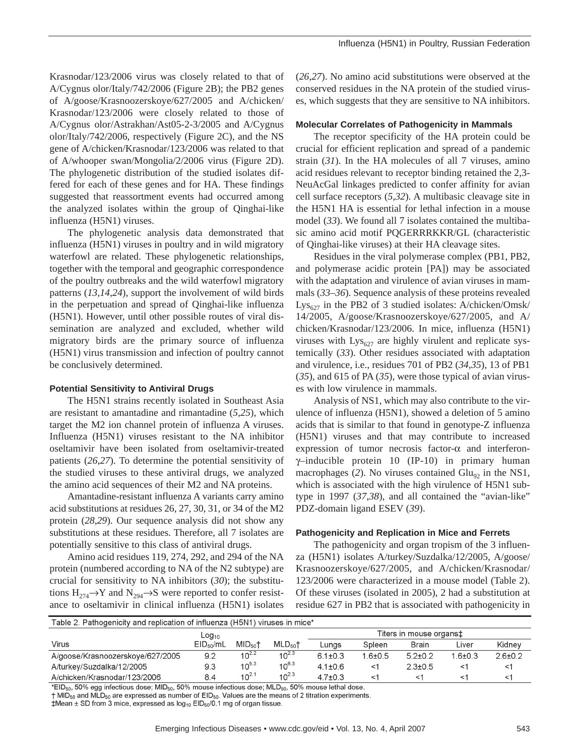Krasnodar/123/2006 virus was closely related to that of A/Cygnus olor/Italy/742/2006 (Figure 2B); the PB2 genes of A/goose/Krasnoozerskoye/627/2005 and A/chicken/ Krasnodar/123/2006 were closely related to those of A/Cygnus olor/Astrakhan/Ast05-2-3/2005 and A/Cygnus olor/Italy/742/2006, respectively (Figure 2C), and the NS gene of A/chicken/Krasnodar/123/2006 was related to that of A/whooper swan/Mongolia/2/2006 virus (Figure 2D). The phylogenetic distribution of the studied isolates differed for each of these genes and for HA. These findings suggested that reassortment events had occurred among the analyzed isolates within the group of Qinghai-like influenza (H5N1) viruses.

The phylogenetic analysis data demonstrated that influenza (H5N1) viruses in poultry and in wild migratory waterfowl are related. These phylogenetic relationships, together with the temporal and geographic correspondence of the poultry outbreaks and the wild waterfowl migratory patterns (*13*,*14*,*24*), support the involvement of wild birds in the perpetuation and spread of Qinghai-like influenza (H5N1). However, until other possible routes of viral dissemination are analyzed and excluded, whether wild migratory birds are the primary source of influenza (H5N1) virus transmission and infection of poultry cannot be conclusively determined.

### **Potential Sensitivity to Antiviral Drugs**

The H5N1 strains recently isolated in Southeast Asia are resistant to amantadine and rimantadine (*5*,*25*), which target the M2 ion channel protein of influenza A viruses. Influenza (H5N1) viruses resistant to the NA inhibitor oseltamivir have been isolated from oseltamivir-treated patients (*26*,*27*). To determine the potential sensitivity of the studied viruses to these antiviral drugs, we analyzed the amino acid sequences of their M2 and NA proteins.

Amantadine-resistant influenza A variants carry amino acid substitutions at residues 26, 27, 30, 31, or 34 of the M2 protein (*28*,*29*). Our sequence analysis did not show any substitutions at these residues. Therefore, all 7 isolates are potentially sensitive to this class of antiviral drugs.

Amino acid residues 119, 274, 292, and 294 of the NA protein (numbered according to NA of the N2 subtype) are crucial for sensitivity to NA inhibitors (*30*); the substitutions  $H_{274} \rightarrow Y$  and  $N_{294} \rightarrow S$  were reported to confer resistance to oseltamivir in clinical influenza (H5N1) isolates

(*26*,*27*). No amino acid substitutions were observed at the conserved residues in the NA protein of the studied viruses, which suggests that they are sensitive to NA inhibitors.

### **Molecular Correlates of Pathogenicity in Mammals**

The receptor specificity of the HA protein could be crucial for efficient replication and spread of a pandemic strain (*31*). In the HA molecules of all 7 viruses, amino acid residues relevant to receptor binding retained the 2,3- NeuAcGal linkages predicted to confer affinity for avian cell surface receptors (*5*,*32*). A multibasic cleavage site in the H5N1 HA is essential for lethal infection in a mouse model (*33*). We found all 7 isolates contained the multibasic amino acid motif PQGERRRKKR/GL (characteristic of Qinghai-like viruses) at their HA cleavage sites.

Residues in the viral polymerase complex (PB1, PB2, and polymerase acidic protein [PA]) may be associated with the adaptation and virulence of avian viruses in mammals (*33*–*36*). Sequence analysis of these proteins revealed  $Lys_{627}$  in the PB2 of 3 studied isolates: A/chicken/Omsk/ 14/2005, A/goose/Krasnoozerskoye/627/2005, and A/ chicken/Krasnodar/123/2006. In mice, influenza (H5N1) viruses with  $Lys_{627}$  are highly virulent and replicate systemically (*33*). Other residues associated with adaptation and virulence, i.e., residues 701 of PB2 (*34*,*35*), 13 of PB1 (*35*), and 615 of PA (*35*), were those typical of avian viruses with low virulence in mammals.

Analysis of NS1, which may also contribute to the virulence of influenza (H5N1), showed a deletion of 5 amino acids that is similar to that found in genotype-Z influenza (H5N1) viruses and that may contribute to increased expression of tumor necrosis factor- $\alpha$  and interferonγ–inducible protein 10 (IP-10) in primary human macrophages (2). No viruses contained  $Glu_{\alpha}$  in the NS1, which is associated with the high virulence of H5N1 subtype in 1997 (*37*,*38*), and all contained the "avian-like" PDZ-domain ligand ESEV (*39*).

### **Pathogenicity and Replication in Mice and Ferrets**

The pathogenicity and organ tropism of the 3 influenza (H5N1) isolates A/turkey/Suzdalka/12/2005, A/goose/ Krasnoozerskoye/627/2005, and A/chicken/Krasnodar/ 123/2006 were characterized in a mouse model (Table 2). Of these viruses (isolated in 2005), 2 had a substitution at residue 627 in PB2 that is associated with pathogenicity in

| Table 2. Pathogenicity and replication of influenza (H5N1) viruses in mice* |                   |                     |                   |                         |             |               |             |          |
|-----------------------------------------------------------------------------|-------------------|---------------------|-------------------|-------------------------|-------------|---------------|-------------|----------|
|                                                                             | Log <sub>10</sub> |                     |                   | Titers in mouse organst |             |               |             |          |
| Virus                                                                       | $EID_{50}/mL$     | MID <sub>50</sub> † | MLD <sub>50</sub> | Lunas                   | Spleen      | Brain         | Liver       | Kidnev   |
| A/goose/Krasnoozerskove/627/2005                                            | 9.2               | $10^{2.2}$          | $10^{2.3}$        | $6.1 + 0.3$             | $1.6 + 0.5$ | $5.2 + 0.2$   | $1.6 + 0.3$ | $26+0.2$ |
| A/turkey/Suzdalka/12/2005                                                   | 9.3               | $10^{5.3}$          | $10^{6.3}$        | $4.1 + 0.6$             | <1          | $2.3 \pm 0.5$ | <1          | <1       |
| A/chicken/Krasnodar/123/2006                                                | 8.4               | $10^{2.1}$          | $10^{2.3}$        | $4.7 \pm 0.3$           | <′          |               | <1          | <1       |

 $*$ EID<sub>50</sub>, 50% egg infectious dose; MID<sub>50</sub>, 50% mouse infectious dose; MLD<sub>50</sub>, 50% mouse lethal dose.

 $\dagger$  MID<sub>50</sub> and MLD<sub>50</sub> are expressed as number of EID<sub>50</sub>. Values are the means of 2 titration experiments.

 $\text{\#Mean} \pm \text{SD}$  from 3 mice, expressed as  $\log_{10}$  EID<sub>50</sub>/0.1 mg of organ tissue.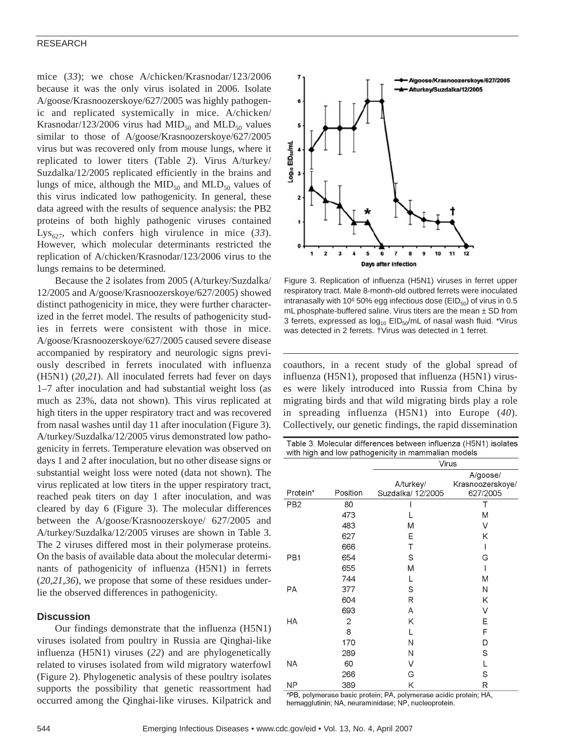mice (*33*); we chose A/chicken/Krasnodar/123/2006 because it was the only virus isolated in 2006. Isolate A/goose/Krasnoozerskoye/627/2005 was highly pathogenic and replicated systemically in mice. A/chicken/ Krasnodar/123/2006 virus had MID<sub>50</sub> and MLD<sub>50</sub> values similar to those of A/goose/Krasnoozerskoye/627/2005 virus but was recovered only from mouse lungs, where it replicated to lower titers (Table 2). Virus A/turkey/ Suzdalka/12/2005 replicated efficiently in the brains and lungs of mice, although the  $MID_{50}$  and  $MLD_{50}$  values of this virus indicated low pathogenicity. In general, these data agreed with the results of sequence analysis: the PB2 proteins of both highly pathogenic viruses contained Lys<sub>627</sub>, which confers high virulence in mice  $(33)$ . However, which molecular determinants restricted the replication of A/chicken/Krasnodar/123/2006 virus to the lungs remains to be determined.

Because the 2 isolates from 2005 (A/turkey/Suzdalka/ 12/2005 and A/goose/Krasnoozerskoye/627/2005) showed distinct pathogenicity in mice, they were further characterized in the ferret model. The results of pathogenicity studies in ferrets were consistent with those in mice. A/goose/Krasnoozerskoye/627/2005 caused severe disease accompanied by respiratory and neurologic signs previously described in ferrets inoculated with influenza (H5N1) (*20*,*21*). All inoculated ferrets had fever on days 1–7 after inoculation and had substantial weight loss (as much as 23%, data not shown). This virus replicated at high titers in the upper respiratory tract and was recovered from nasal washes until day 11 after inoculation (Figure 3). A/turkey/Suzdalka/12/2005 virus demonstrated low pathogenicity in ferrets. Temperature elevation was observed on days 1 and 2 after inoculation, but no other disease signs or substantial weight loss were noted (data not shown). The virus replicated at low titers in the upper respiratory tract, reached peak titers on day 1 after inoculation, and was cleared by day 6 (Figure 3). The molecular differences between the A/goose/Krasnoozerskoye/ 627/2005 and A/turkey/Suzdalka/12/2005 viruses are shown in Table 3. The 2 viruses differed most in their polymerase proteins. On the basis of available data about the molecular determinants of pathogenicity of influenza (H5N1) in ferrets (*20*,*21*,*36*), we propose that some of these residues underlie the observed differences in pathogenicity.

### **Discussion**

Our findings demonstrate that the influenza (H5N1) viruses isolated from poultry in Russia are Qinghai-like influenza (H5N1) viruses (*22*) and are phylogenetically related to viruses isolated from wild migratory waterfowl (Figure 2). Phylogenetic analysis of these poultry isolates supports the possibility that genetic reassortment had occurred among the Qinghai-like viruses. Kilpatrick and



Figure 3. Replication of influenza (H5N1) viruses in ferret upper respiratory tract. Male 8-month-old outbred ferrets were inoculated intranasally with 10 $650\%$  egg infectious dose (EID $_{50}$ ) of virus in 0.5 mL phosphate-buffered saline. Virus titers are the mean  $\pm$  SD from 3 ferrets, expressed as  $log_{10}$  EID<sub>50</sub>/mL of nasal wash fluid. \*Virus was detected in 2 ferrets. †Virus was detected in 1 ferret.

coauthors, in a recent study of the global spread of influenza (H5N1), proposed that influenza (H5N1) viruses were likely introduced into Russia from China by migrating birds and that wild migrating birds play a role in spreading influenza (H5N1) into Europe (*40*). Collectively, our genetic findings, the rapid dissemination

|                       |                      | Table 3. Molecular differences between influenza (H5N1) isolates<br>with high and low pathogenicity in mammalian models |                                          |  |
|-----------------------|----------------------|-------------------------------------------------------------------------------------------------------------------------|------------------------------------------|--|
|                       |                      | Virus                                                                                                                   |                                          |  |
| Protein*              | Position             | A/turkey/<br>Suzdalka/ 12/2005                                                                                          | A/goose/<br>Krasnoozerskoye/<br>627/2005 |  |
| PB <sub>2</sub>       | 80                   |                                                                                                                         |                                          |  |
|                       | 473                  |                                                                                                                         | M                                        |  |
|                       | 483                  | M                                                                                                                       | ٧                                        |  |
|                       | 627                  | Ε                                                                                                                       | Κ                                        |  |
|                       | 666                  | Т                                                                                                                       |                                          |  |
| PB <sub>1</sub>       | 654                  | S                                                                                                                       | G                                        |  |
|                       | 655                  | М                                                                                                                       |                                          |  |
|                       | 744                  | L                                                                                                                       | M                                        |  |
| PA                    | 377                  | S                                                                                                                       | N                                        |  |
|                       | 604                  | R                                                                                                                       | Κ                                        |  |
|                       | 693                  | A                                                                                                                       | ٧                                        |  |
| HA                    | 2                    | Κ                                                                                                                       | Е                                        |  |
|                       | 8                    | L                                                                                                                       | F                                        |  |
|                       | 170                  | Ν                                                                                                                       | D                                        |  |
|                       | 289                  | Ν                                                                                                                       | S                                        |  |
| NA                    | 60                   | V                                                                                                                       |                                          |  |
|                       | 266                  | G                                                                                                                       | S                                        |  |
| NΡ<br>$*$ nn<br>$-1.$ | 389<br>المنقاط والما | Κ<br>$-1 - 1 - 1 - 0$<br>ъ.                                                                                             | R<br><b>Salta</b><br>$-1 - 1 - 11A$      |  |

'PB, polymerase basic protein; PA, polymerase acidic protein; HA, hemagglutinin; NA, neuraminidase; NP, nucleoprotein.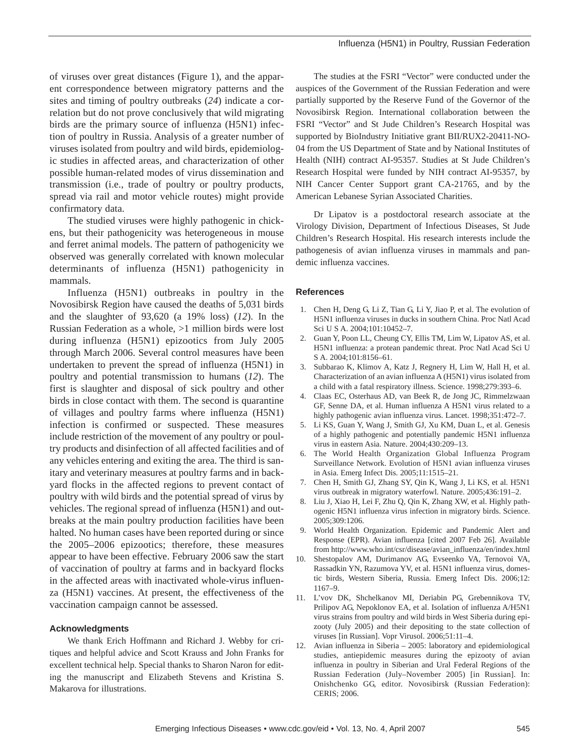of viruses over great distances (Figure 1), and the apparent correspondence between migratory patterns and the sites and timing of poultry outbreaks (*24*) indicate a correlation but do not prove conclusively that wild migrating birds are the primary source of influenza (H5N1) infection of poultry in Russia. Analysis of a greater number of viruses isolated from poultry and wild birds, epidemiologic studies in affected areas, and characterization of other possible human-related modes of virus dissemination and transmission (i.e., trade of poultry or poultry products, spread via rail and motor vehicle routes) might provide confirmatory data.

The studied viruses were highly pathogenic in chickens, but their pathogenicity was heterogeneous in mouse and ferret animal models. The pattern of pathogenicity we observed was generally correlated with known molecular determinants of influenza (H5N1) pathogenicity in mammals.

Influenza (H5N1) outbreaks in poultry in the Novosibirsk Region have caused the deaths of 5,031 birds and the slaughter of 93,620 (a 19% loss) (*12*). In the Russian Federation as a whole, >1 million birds were lost during influenza (H5N1) epizootics from July 2005 through March 2006. Several control measures have been undertaken to prevent the spread of influenza (H5N1) in poultry and potential transmission to humans (*12*). The first is slaughter and disposal of sick poultry and other birds in close contact with them. The second is quarantine of villages and poultry farms where influenza (H5N1) infection is confirmed or suspected. These measures include restriction of the movement of any poultry or poultry products and disinfection of all affected facilities and of any vehicles entering and exiting the area. The third is sanitary and veterinary measures at poultry farms and in backyard flocks in the affected regions to prevent contact of poultry with wild birds and the potential spread of virus by vehicles. The regional spread of influenza (H5N1) and outbreaks at the main poultry production facilities have been halted. No human cases have been reported during or since the 2005–2006 epizootics; therefore, these measures appear to have been effective. February 2006 saw the start of vaccination of poultry at farms and in backyard flocks in the affected areas with inactivated whole-virus influenza (H5N1) vaccines. At present, the effectiveness of the vaccination campaign cannot be assessed.

### **Acknowledgments**

We thank Erich Hoffmann and Richard J. Webby for critiques and helpful advice and Scott Krauss and John Franks for excellent technical help. Special thanks to Sharon Naron for editing the manuscript and Elizabeth Stevens and Kristina S. Makarova for illustrations.

The studies at the FSRI "Vector" were conducted under the auspices of the Government of the Russian Federation and were partially supported by the Reserve Fund of the Governor of the Novosibirsk Region. International collaboration between the FSRI "Vector" and St Jude Children's Research Hospital was supported by BioIndustry Initiative grant BII/RUX2-20411-NO-04 from the US Department of State and by National Institutes of Health (NIH) contract AI-95357. Studies at St Jude Children's Research Hospital were funded by NIH contract AI-95357, by NIH Cancer Center Support grant CA-21765, and by the American Lebanese Syrian Associated Charities.

Dr Lipatov is a postdoctoral research associate at the Virology Division, Department of Infectious Diseases, St Jude Children's Research Hospital. His research interests include the pathogenesis of avian influenza viruses in mammals and pandemic influenza vaccines.

### **References**

- 1. Chen H, Deng G, Li Z, Tian G, Li Y, Jiao P, et al. The evolution of H5N1 influenza viruses in ducks in southern China. Proc Natl Acad Sci U S A. 2004;101:10452–7.
- 2. Guan Y, Poon LL, Cheung CY, Ellis TM, Lim W, Lipatov AS, et al. H5N1 influenza: a protean pandemic threat. Proc Natl Acad Sci U S A. 2004;101:8156–61.
- 3. Subbarao K, Klimov A, Katz J, Regnery H, Lim W, Hall H, et al. Characterization of an avian influenza A (H5N1) virus isolated from a child with a fatal respiratory illness. Science. 1998;279:393–6.
- 4. Claas EC, Osterhaus AD, van Beek R, de Jong JC, Rimmelzwaan GF, Senne DA, et al. Human influenza A H5N1 virus related to a highly pathogenic avian influenza virus. Lancet. 1998;351:472–7.
- 5. Li KS, Guan Y, Wang J, Smith GJ, Xu KM, Duan L, et al. Genesis of a highly pathogenic and potentially pandemic H5N1 influenza virus in eastern Asia. Nature. 2004;430:209–13.
- 6. The World Health Organization Global Influenza Program Surveillance Network. Evolution of H5N1 avian influenza viruses in Asia. Emerg Infect Dis. 2005;11:1515–21.
- 7. Chen H, Smith GJ, Zhang SY, Qin K, Wang J, Li KS, et al. H5N1 virus outbreak in migratory waterfowl. Nature. 2005;436:191–2.
- 8. Liu J, Xiao H, Lei F, Zhu Q, Qin K, Zhang XW, et al. Highly pathogenic H5N1 influenza virus infection in migratory birds. Science. 2005;309:1206.
- 9. World Health Organization. Epidemic and Pandemic Alert and Response (EPR). Avian influenza [cited 2007 Feb 26]. Available from http://www.who.int/csr/disease/avian\_influenza/en/index.html
- 10. Shestopalov AM, Durimanov AG, Evseenko VA, Ternovoi VA, Rassadkin YN, Razumova YV, et al. H5N1 influenza virus, domestic birds, Western Siberia, Russia. Emerg Infect Dis. 2006;12: 1167–9.
- 11. L'vov DK, Shchelkanov MI, Deriabin PG, Grebennikova TV, Prilipov AG, Nepoklonov EA, et al. Isolation of influenza A/H5N1 virus strains from poultry and wild birds in West Siberia during epizooty (July 2005) and their depositing to the state collection of viruses [in Russian]. Vopr Virusol. 2006;51:11–4.
- 12. Avian influenza in Siberia 2005: laboratory and epidemiological studies, antiepidemic measures during the epizooty of avian influenza in poultry in Siberian and Ural Federal Regions of the Russian Federation (July–November 2005) [in Russian]. In: Onishchenko GG, editor. Novosibirsk (Russian Federation): CERIS; 2006.